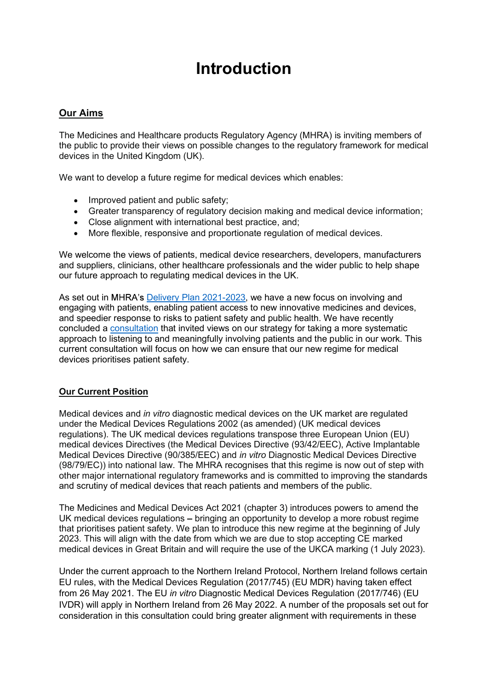## Introduction

## Our Aims

The Medicines and Healthcare products Regulatory Agency (MHRA) is inviting members of the public to provide their views on possible changes to the regulatory framework for medical devices in the United Kingdom (UK).

We want to develop a future regime for medical devices which enables:

- Improved patient and public safety;
- Greater transparency of regulatory decision making and medical device information;
- Close alignment with international best practice, and;
- More flexible, responsive and proportionate regulation of medical devices.

We welcome the views of patients, medical device researchers, developers, manufacturers and suppliers, clinicians, other healthcare professionals and the wider public to help shape our future approach to regulating medical devices in the UK.

As set out in MHRA's Delivery Plan 2021-2023, we have a new focus on involving and engaging with patients, enabling patient access to new innovative medicines and devices, and speedier response to risks to patient safety and public health. We have recently concluded a consultation that invited views on our strategy for taking a more systematic approach to listening to and meaningfully involving patients and the public in our work. This current consultation will focus on how we can ensure that our new regime for medical devices prioritises patient safety.

## Our Current Position

Medical devices and in vitro diagnostic medical devices on the UK market are regulated under the Medical Devices Regulations 2002 (as amended) (UK medical devices regulations). The UK medical devices regulations transpose three European Union (EU) medical devices Directives (the Medical Devices Directive (93/42/EEC), Active Implantable Medical Devices Directive (90/385/EEC) and in vitro Diagnostic Medical Devices Directive (98/79/EC)) into national law. The MHRA recognises that this regime is now out of step with other major international regulatory frameworks and is committed to improving the standards and scrutiny of medical devices that reach patients and members of the public.

The Medicines and Medical Devices Act 2021 (chapter 3) introduces powers to amend the UK medical devices regulations – bringing an opportunity to develop a more robust regime that prioritises patient safety. We plan to introduce this new regime at the beginning of July 2023. This will align with the date from which we are due to stop accepting CE marked medical devices in Great Britain and will require the use of the UKCA marking (1 July 2023).

Under the current approach to the Northern Ireland Protocol, Northern Ireland follows certain EU rules, with the Medical Devices Regulation (2017/745) (EU MDR) having taken effect from 26 May 2021. The EU in vitro Diagnostic Medical Devices Regulation (2017/746) (EU IVDR) will apply in Northern Ireland from 26 May 2022. A number of the proposals set out for consideration in this consultation could bring greater alignment with requirements in these